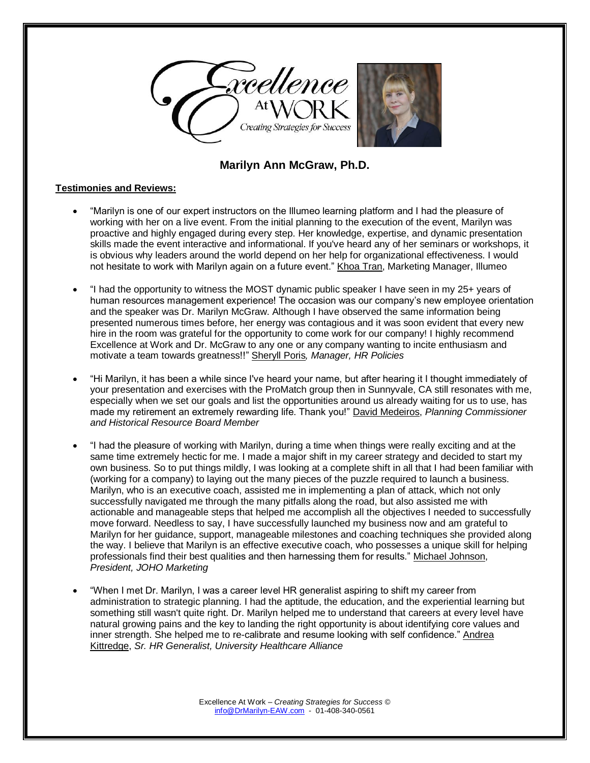

## **Marilyn Ann McGraw, Ph.D.**

## **Testimonies and Reviews:**

- "Marilyn is one of our expert instructors on the Illumeo learning platform and I had the pleasure of working with her on a live event. From the initial planning to the execution of the event, Marilyn was proactive and highly engaged during every step. Her knowledge, expertise, and dynamic presentation skills made the event interactive and informational. If you've heard any of her seminars or workshops, it is obvious why leaders around the world depend on her help for organizational effectiveness. I would not hesitate to work with Marilyn again on a future event." Khoa Tran, Marketing Manager, Illumeo
- "I had the opportunity to witness the MOST dynamic public speaker I have seen in my 25+ years of human resources management experience! The occasion was our company's new employee orientation and the speaker was Dr. Marilyn McGraw. Although I have observed the same information being presented numerous times before, her energy was contagious and it was soon evident that every new hire in the room was grateful for the opportunity to come work for our company! I highly recommend Excellence at Work and Dr. McGraw to any one or any company wanting to incite enthusiasm and motivate a team towards greatness!!" Sheryll Poris*, Manager, HR Policies*
- "Hi Marilyn, it has been a while since I've heard your name, but after hearing it I thought immediately of your presentation and exercises with the ProMatch group then in Sunnyvale, CA still resonates with me, especially when we set our goals and list the opportunities around us already waiting for us to use, has made my retirement an extremely rewarding life. Thank you!" David Medeiros, *Planning Commissioner and Historical Resource Board Member*
- "I had the pleasure of working with Marilyn, during a time when things were really exciting and at the same time extremely hectic for me. I made a major shift in my career strategy and decided to start my own business. So to put things mildly, I was looking at a complete shift in all that I had been familiar with (working for a company) to laying out the many pieces of the puzzle required to launch a business. Marilyn, who is an executive coach, assisted me in implementing a plan of attack, which not only successfully navigated me through the many pitfalls along the road, but also assisted me with actionable and manageable steps that helped me accomplish all the objectives I needed to successfully move forward. Needless to say, I have successfully launched my business now and am grateful to Marilyn for her guidance, support, manageable milestones and coaching techniques she provided along the way. I believe that Marilyn is an effective executive coach, who possesses a unique skill for helping professionals find their best qualities and then harnessing them for results." Michael Johnson, *President, JOHO Marketing*
- "When I met Dr. Marilyn, I was a career level HR generalist aspiring to shift my career from administration to strategic planning. I had the aptitude, the education, and the experiential learning but something still wasn't quite right. Dr. Marilyn helped me to understand that careers at every level have natural growing pains and the key to landing the right opportunity is about identifying core values and inner strength. She helped me to re-calibrate and resume looking with self confidence." Andrea Kittredge, *Sr. HR Generalist, University Healthcare Alliance*